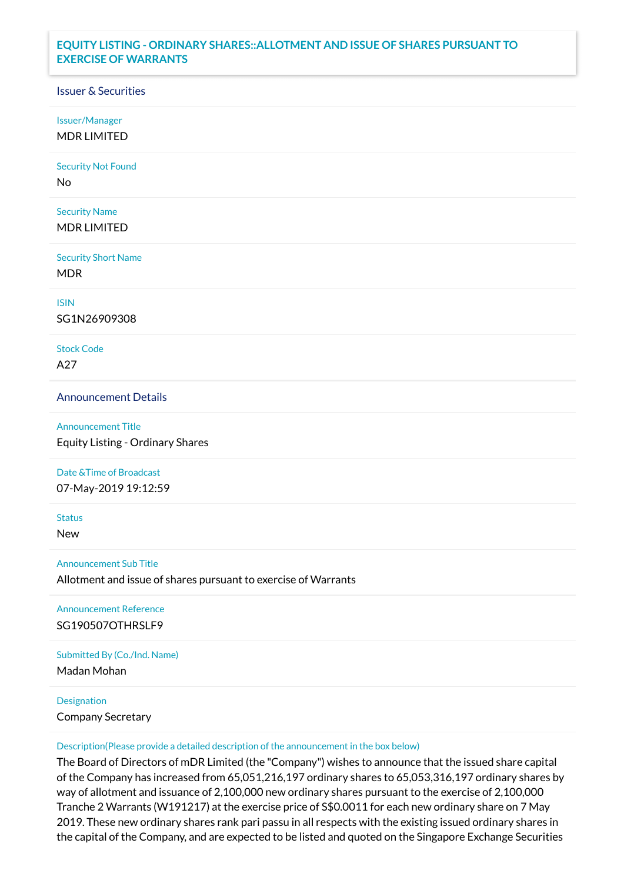## **EQUITY LISTING - ORDINARY SHARES::ALLOTMENT AND ISSUE OF SHARES PURSUANT TO EXERCISE OF WARRANTS**

## Issuer & Securities

Issuer/Manager

MDR LIMITED

Security Not Found

No

Security Name MDR LIMITED

Security Short Name MDR

ISIN

SG1N26909308

Stock Code A27

Announcement Details

Announcement Title Equity Listing - Ordinary Shares

Date &Time of Broadcast

07-May-2019 19:12:59

**Status** 

New

Announcement Sub Title

Allotment and issue of shares pursuant to exercise of Warrants

Announcement Reference SG190507OTHRSLF9

Submitted By (Co./Ind. Name)

Madan Mohan

**Designation** 

Company Secretary

Description(Please provide a detailed description of the announcement in the box below)

The Board of Directors of mDR Limited (the "Company") wishes to announce that the issued share capital of the Company has increased from 65,051,216,197 ordinary shares to 65,053,316,197 ordinary shares by way of allotment and issuance of 2,100,000 new ordinary shares pursuant to the exercise of 2,100,000 Tranche 2 Warrants (W191217) at the exercise price of S\$0.0011 for each new ordinary share on 7 May 2019. These new ordinary shares rank pari passu in all respects with the existing issued ordinary shares in the capital of the Company, and are expected to be listed and quoted on the Singapore Exchange Securities